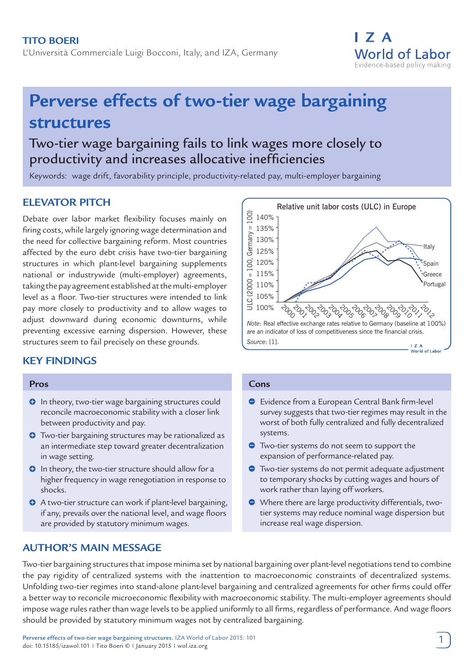

# **Perverse effects of two-tier wage bargaining structures**

## Two-tier wage bargaining fails to link wages more closely to productivity and increases allocative inefficiencies

Keywords: wage drift, favorability principle, productivity-related pay, multi-employer bargaining

## **ELEVATOR PITCH**

Debate over labor market flexibility focuses mainly on firing costs, while largely ignoring wage determination and the need for collective bargaining reform. Most countries affected by the euro debt crisis have two-tier bargaining structures in which plant-level bargaining supplements national or industrywide (multi-employer) agreements, taking the pay agreement established at the multi-employer level as a floor. Two-tier structures were intended to link pay more closely to productivity and to allow wages to adjust downward during economic downturns, while preventing excessive earning dispersion. However, these structures seem to fail precisely on these grounds.

## **KEY FINDINGS**

#### **Pros**

- **O** In theory, two-tier wage bargaining structures could reconcile macroeconomic stability with a closer link between productivity and pay.
- **O** Two-tier bargaining structures may be rationalized as an intermediate step toward greater decentralization in wage setting.
- **O** In theory, the two-tier structure should allow for a higher frequency in wage renegotiation in response to shocks.
- A two-tier structure can work if plant-level bargaining, if any, prevails over the national level, and wage floors are provided by statutory minimum wages.

## **AUTHOR'S MAIN MESSAGE**



#### **Cons**

- Evidence from a European Central Bank firm-level survey suggests that two-tier regimes may result in the worst of both fully centralized and fully decentralized systems.
- Two-tier systems do not seem to support the expansion of performance-related pay.
- Two-tier systems do not permit adequate adjustment to temporary shocks by cutting wages and hours of work rather than laying off workers.
- Where there are large productivity differentials, twotier systems may reduce nominal wage dispersion but increase real wage dispersion.

Two-tier bargaining structures that impose minima set by national bargaining over plant-level negotiations tend to combine the pay rigidity of centralized systems with the inattention to macroeconomic constraints of decentralized systems. Unfolding two-tier regimes into stand-alone plant-level bargaining and centralized agreements for other firms could offer a better way to reconcile microeconomic flexibility with macroeconomic stability. The multi-employer agreements should impose wage rules rather than wage levels to be applied uniformly to all firms, regardless of performance. And wage floors should be provided by statutory minimum wages not by centralized bargaining.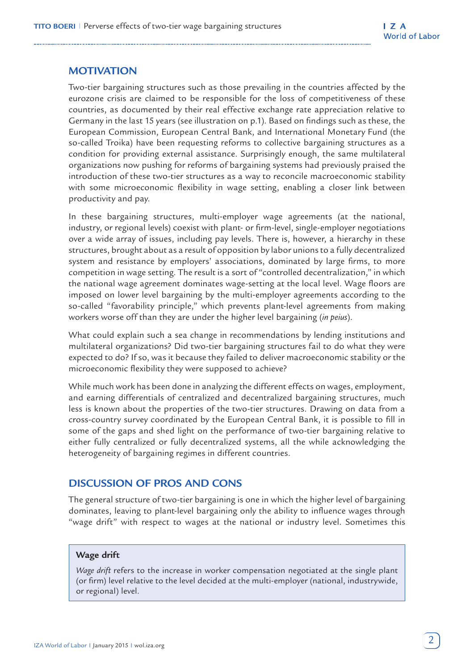## **MOTIVATION**

Two-tier bargaining structures such as those prevailing in the countries affected by the eurozone crisis are claimed to be responsible for the loss of competitiveness of these countries, as documented by their real effective exchange rate appreciation relative to Germany in the last 15 years (see illustration on p.1). Based on findings such as these, the European Commission, European Central Bank, and International Monetary Fund (the so-called Troika) have been requesting reforms to collective bargaining structures as a condition for providing external assistance. Surprisingly enough, the same multilateral organizations now pushing for reforms of bargaining systems had previously praised the introduction of these two-tier structures as a way to reconcile macroeconomic stability with some microeconomic flexibility in wage setting, enabling a closer link between productivity and pay.

In these bargaining structures, multi-employer wage agreements (at the national, industry, or regional levels) coexist with plant- or firm-level, single-employer negotiations over a wide array of issues, including pay levels. There is, however, a hierarchy in these structures, brought about as a result of opposition by labor unions to a fully decentralized system and resistance by employers' associations, dominated by large firms, to more competition in wage setting. The result is a sort of "controlled decentralization," in which the national wage agreement dominates wage-setting at the local level. Wage floors are imposed on lower level bargaining by the multi-employer agreements according to the so-called "favorability principle," which prevents plant-level agreements from making workers worse off than they are under the higher level bargaining (*in peius*).

What could explain such a sea change in recommendations by lending institutions and multilateral organizations? Did two-tier bargaining structures fail to do what they were expected to do? If so, was it because they failed to deliver macroeconomic stability or the microeconomic flexibility they were supposed to achieve?

While much work has been done in analyzing the different effects on wages, employment, and earning differentials of centralized and decentralized bargaining structures, much less is known about the properties of the two-tier structures. Drawing on data from a cross-country survey coordinated by the European Central Bank, it is possible to fill in some of the gaps and shed light on the performance of two-tier bargaining relative to either fully centralized or fully decentralized systems, all the while acknowledging the heterogeneity of bargaining regimes in different countries.

## **DISCUSSION OF PROS AND CONS**

The general structure of two-tier bargaining is one in which the higher level of bargaining dominates, leaving to plant-level bargaining only the ability to influence wages through "wage drift" with respect to wages at the national or industry level. Sometimes this

#### **Wage drift**

*Wage drift* refers to the increase in worker compensation negotiated at the single plant (or firm) level relative to the level decided at the multi-employer (national, industrywide, or regional) level.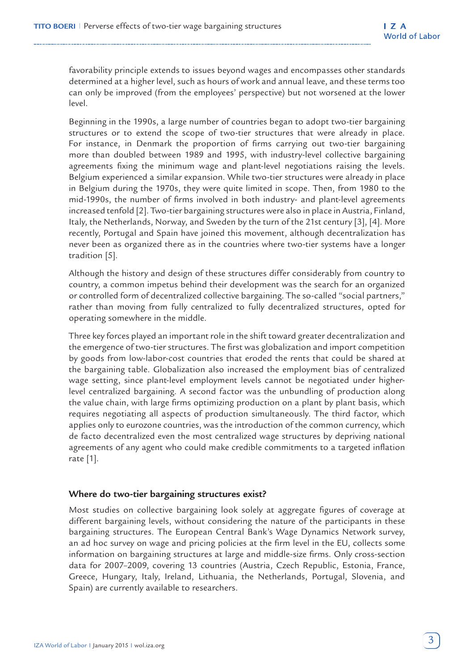favorability principle extends to issues beyond wages and encompasses other standards determined at a higher level, such as hours of work and annual leave, and these terms too can only be improved (from the employees' perspective) but not worsened at the lower level.

Beginning in the 1990s, a large number of countries began to adopt two-tier bargaining structures or to extend the scope of two-tier structures that were already in place. For instance, in Denmark the proportion of firms carrying out two-tier bargaining more than doubled between 1989 and 1995, with industry-level collective bargaining agreements fixing the minimum wage and plant-level negotiations raising the levels. Belgium experienced a similar expansion. While two-tier structures were already in place in Belgium during the 1970s, they were quite limited in scope. Then, from 1980 to the mid-1990s, the number of firms involved in both industry- and plant-level agreements increased tenfold [2]. Two-tier bargaining structures were also in place in Austria, Finland, Italy, the Netherlands, Norway, and Sweden by the turn of the 21st century [3], [4]. More recently, Portugal and Spain have joined this movement, although decentralization has never been as organized there as in the countries where two-tier systems have a longer tradition [5].

Although the history and design of these structures differ considerably from country to country, a common impetus behind their development was the search for an organized or controlled form of decentralized collective bargaining. The so-called "social partners," rather than moving from fully centralized to fully decentralized structures, opted for operating somewhere in the middle.

Three key forces played an important role in the shift toward greater decentralization and the emergence of two-tier structures. The first was globalization and import competition by goods from low-labor-cost countries that eroded the rents that could be shared at the bargaining table. Globalization also increased the employment bias of centralized wage setting, since plant-level employment levels cannot be negotiated under higherlevel centralized bargaining. A second factor was the unbundling of production along the value chain, with large firms optimizing production on a plant by plant basis, which requires negotiating all aspects of production simultaneously. The third factor, which applies only to eurozone countries, was the introduction of the common currency, which de facto decentralized even the most centralized wage structures by depriving national agreements of any agent who could make credible commitments to a targeted inflation rate [1].

#### **Where do two-tier bargaining structures exist?**

Most studies on collective bargaining look solely at aggregate figures of coverage at different bargaining levels, without considering the nature of the participants in these bargaining structures. The European Central Bank's Wage Dynamics Network survey, an ad hoc survey on wage and pricing policies at the firm level in the EU, collects some information on bargaining structures at large and middle-size firms. Only cross-section data for 2007–2009, covering 13 countries (Austria, Czech Republic, Estonia, France, Greece, Hungary, Italy, Ireland, Lithuania, the Netherlands, Portugal, Slovenia, and Spain) are currently available to researchers.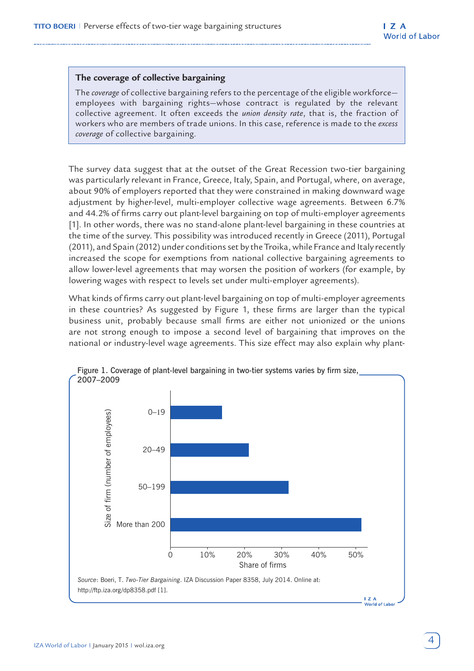#### **The coverage of collective bargaining**

The *coverage* of collective bargaining refers to the percentage of the eligible workforce employees with bargaining rights—whose contract is regulated by the relevant collective agreement. It often exceeds the *union density rate*, that is, the fraction of workers who are members of trade unions. In this case, reference is made to the *excess coverage* of collective bargaining.

The survey data suggest that at the outset of the Great Recession two-tier bargaining was particularly relevant in France, Greece, Italy, Spain, and Portugal, where, on average, about 90% of employers reported that they were constrained in making downward wage adjustment by higher-level, multi-employer collective wage agreements. Between 6.7% and 44.2% of firms carry out plant-level bargaining on top of multi-employer agreements [1]. In other words, there was no stand-alone plant-level bargaining in these countries at the time of the survey. This possibility was introduced recently in Greece (2011), Portugal (2011), and Spain (2012) under conditions set by the Troika, while France and Italy recently increased the scope for exemptions from national collective bargaining agreements to allow lower-level agreements that may worsen the position of workers (for example, by lowering wages with respect to levels set under multi-employer agreements).

What kinds of firms carry out plant-level bargaining on top of multi-employer agreements in these countries? As suggested by Figure 1, these firms are larger than the typical business unit, probably because small firms are either not unionized or the unions are not strong enough to impose a second level of bargaining that improves on the national or industry-level wage agreements. This size effect may also explain why plant-



Figure 1. Coverage of plant-level bargaining in two-tier systems varies by firm size,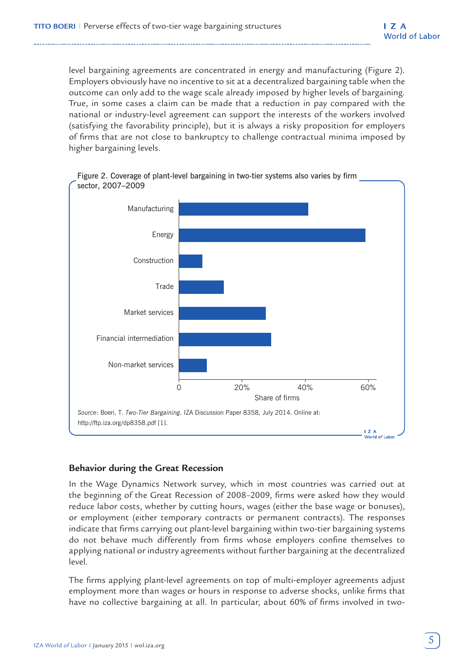level bargaining agreements are concentrated in energy and manufacturing (Figure 2). Employers obviously have no incentive to sit at a decentralized bargaining table when the outcome can only add to the wage scale already imposed by higher levels of bargaining. True, in some cases a claim can be made that a reduction in pay compared with the national or industry-level agreement can support the interests of the workers involved (satisfying the favorability principle), but it is always a risky proposition for employers of firms that are not close to bankruptcy to challenge contractual minima imposed by higher bargaining levels.



#### **Behavior during the Great Recession**

In the Wage Dynamics Network survey, which in most countries was carried out at the beginning of the Great Recession of 2008–2009, firms were asked how they would reduce labor costs, whether by cutting hours, wages (either the base wage or bonuses), or employment (either temporary contracts or permanent contracts). The responses indicate that firms carrying out plant-level bargaining within two-tier bargaining systems do not behave much differently from firms whose employers confine themselves to applying national or industry agreements without further bargaining at the decentralized level.

The firms applying plant-level agreements on top of multi-employer agreements adjust employment more than wages or hours in response to adverse shocks, unlike firms that have no collective bargaining at all. In particular, about 60% of firms involved in two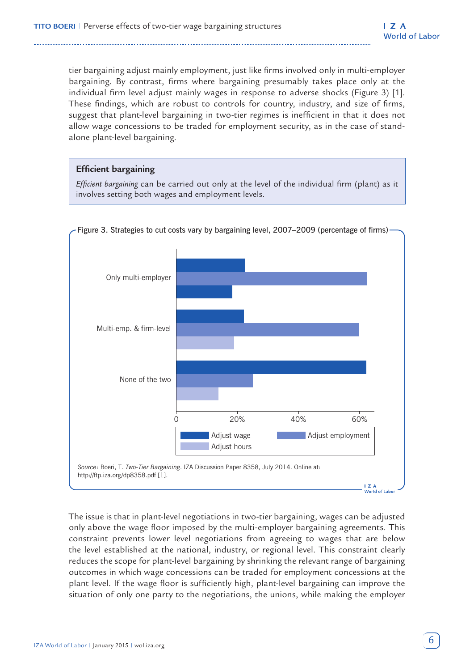tier bargaining adjust mainly employment, just like firms involved only in multi-employer bargaining. By contrast, firms where bargaining presumably takes place only at the individual firm level adjust mainly wages in response to adverse shocks (Figure 3) [1]. These findings, which are robust to controls for country, industry, and size of firms, suggest that plant-level bargaining in two-tier regimes is inefficient in that it does not allow wage concessions to be traded for employment security, as in the case of standalone plant-level bargaining.

#### **Efficient bargaining**

*Efficient bargaining* can be carried out only at the level of the individual firm (plant) as it involves setting both wages and employment levels.



#### Figure 3. Strategies to cut costs vary by bargaining level, 2007-2009 (percentage of firms)

The issue is that in plant-level negotiations in two-tier bargaining, wages can be adjusted only above the wage floor imposed by the multi-employer bargaining agreements. This constraint prevents lower level negotiations from agreeing to wages that are below the level established at the national, industry, or regional level. This constraint clearly reduces the scope for plant-level bargaining by shrinking the relevant range of bargaining outcomes in which wage concessions can be traded for employment concessions at the plant level. If the wage floor is sufficiently high, plant-level bargaining can improve the situation of only one party to the negotiations, the unions, while making the employer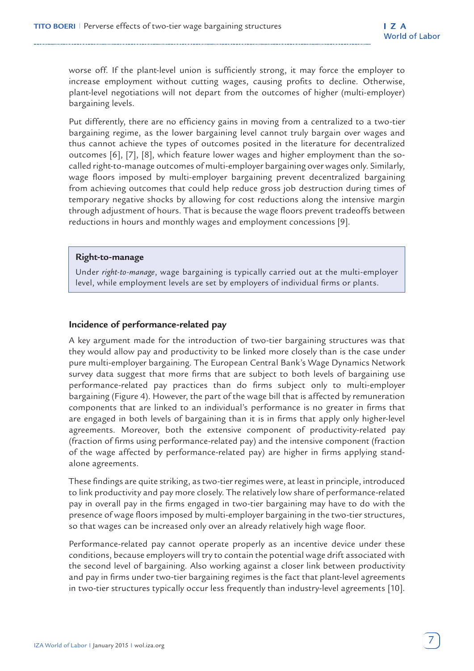worse off. If the plant-level union is sufficiently strong, it may force the employer to increase employment without cutting wages, causing profits to decline. Otherwise, plant-level negotiations will not depart from the outcomes of higher (multi-employer) bargaining levels.

Put differently, there are no efficiency gains in moving from a centralized to a two-tier bargaining regime, as the lower bargaining level cannot truly bargain over wages and thus cannot achieve the types of outcomes posited in the literature for decentralized outcomes [6], [7], [8], which feature lower wages and higher employment than the socalled right-to-manage outcomes of multi-employer bargaining over wages only. Similarly, wage floors imposed by multi-employer bargaining prevent decentralized bargaining from achieving outcomes that could help reduce gross job destruction during times of temporary negative shocks by allowing for cost reductions along the intensive margin through adjustment of hours. That is because the wage floors prevent tradeoffs between reductions in hours and monthly wages and employment concessions [9].

#### **Right-to-manage**

Under *right-to-manage*, wage bargaining is typically carried out at the multi-employer level, while employment levels are set by employers of individual firms or plants.

#### **Incidence of performance-related pay**

A key argument made for the introduction of two-tier bargaining structures was that they would allow pay and productivity to be linked more closely than is the case under pure multi-employer bargaining. The European Central Bank's Wage Dynamics Network survey data suggest that more firms that are subject to both levels of bargaining use performance-related pay practices than do firms subject only to multi-employer bargaining (Figure 4). However, the part of the wage bill that is affected by remuneration components that are linked to an individual's performance is no greater in firms that are engaged in both levels of bargaining than it is in firms that apply only higher-level agreements. Moreover, both the extensive component of productivity-related pay (fraction of firms using performance-related pay) and the intensive component (fraction of the wage affected by performance-related pay) are higher in firms applying standalone agreements.

These findings are quite striking, as two-tier regimes were, at least in principle, introduced to link productivity and pay more closely. The relatively low share of performance-related pay in overall pay in the firms engaged in two-tier bargaining may have to do with the presence of wage floors imposed by multi-employer bargaining in the two-tier structures, so that wages can be increased only over an already relatively high wage floor.

Performance-related pay cannot operate properly as an incentive device under these conditions, because employers will try to contain the potential wage drift associated with the second level of bargaining. Also working against a closer link between productivity and pay in firms under two-tier bargaining regimes is the fact that plant-level agreements in two-tier structures typically occur less frequently than industry-level agreements [10].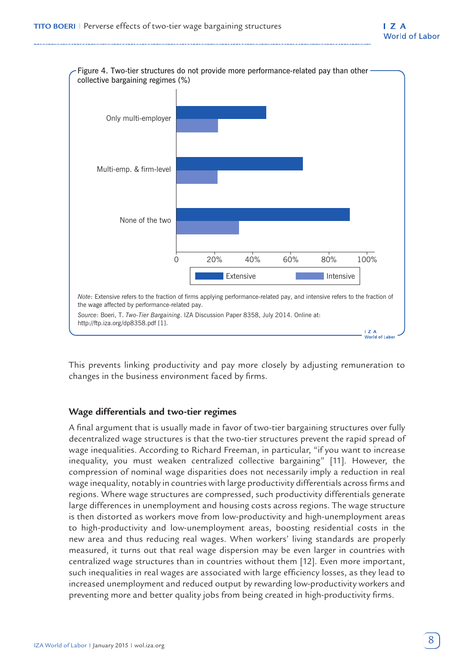

This prevents linking productivity and pay more closely by adjusting remuneration to changes in the business environment faced by firms.

#### **Wage differentials and two-tier regimes**

A final argument that is usually made in favor of two-tier bargaining structures over fully decentralized wage structures is that the two-tier structures prevent the rapid spread of wage inequalities. According to Richard Freeman, in particular, "if you want to increase inequality, you must weaken centralized collective bargaining" [11]. However, the compression of nominal wage disparities does not necessarily imply a reduction in real wage inequality, notably in countries with large productivity differentials across firms and regions. Where wage structures are compressed, such productivity differentials generate large differences in unemployment and housing costs across regions. The wage structure is then distorted as workers move from low-productivity and high-unemployment areas to high-productivity and low-unemployment areas, boosting residential costs in the new area and thus reducing real wages. When workers' living standards are properly measured, it turns out that real wage dispersion may be even larger in countries with centralized wage structures than in countries without them [12]. Even more important, such inequalities in real wages are associated with large efficiency losses, as they lead to increased unemployment and reduced output by rewarding low-productivity workers and preventing more and better quality jobs from being created in high-productivity firms.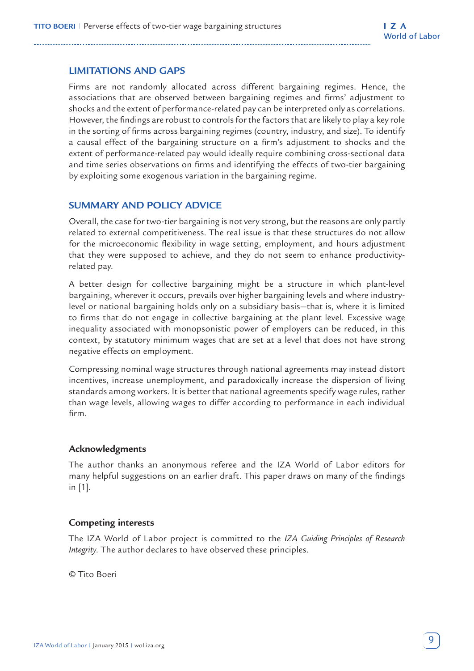#### **LIMITATIONS AND GAPS**

Firms are not randomly allocated across different bargaining regimes. Hence, the associations that are observed between bargaining regimes and firms' adjustment to shocks and the extent of performance-related pay can be interpreted only as correlations. However, the findings are robust to controls for the factors that are likely to play a key role in the sorting of firms across bargaining regimes (country, industry, and size). To identify a causal effect of the bargaining structure on a firm's adjustment to shocks and the extent of performance-related pay would ideally require combining cross-sectional data and time series observations on firms and identifying the effects of two-tier bargaining by exploiting some exogenous variation in the bargaining regime.

#### **SUMMARY AND POLICY ADVICE**

Overall, the case for two-tier bargaining is not very strong, but the reasons are only partly related to external competitiveness. The real issue is that these structures do not allow for the microeconomic flexibility in wage setting, employment, and hours adjustment that they were supposed to achieve, and they do not seem to enhance productivityrelated pay.

A better design for collective bargaining might be a structure in which plant-level bargaining, wherever it occurs, prevails over higher bargaining levels and where industrylevel or national bargaining holds only on a subsidiary basis—that is, where it is limited to firms that do not engage in collective bargaining at the plant level. Excessive wage inequality associated with monopsonistic power of employers can be reduced, in this context, by statutory minimum wages that are set at a level that does not have strong negative effects on employment.

Compressing nominal wage structures through national agreements may instead distort incentives, increase unemployment, and paradoxically increase the dispersion of living standards among workers. It is better that national agreements specify wage rules, rather than wage levels, allowing wages to differ according to performance in each individual firm.

#### **Acknowledgments**

The author thanks an anonymous referee and the IZA World of Labor editors for many helpful suggestions on an earlier draft. This paper draws on many of the findings in [1].

#### **Competing interests**

The IZA World of Labor project is committed to the *IZA Guiding Principles of Research Integrity*. The author declares to have observed these principles.

© Tito Boeri